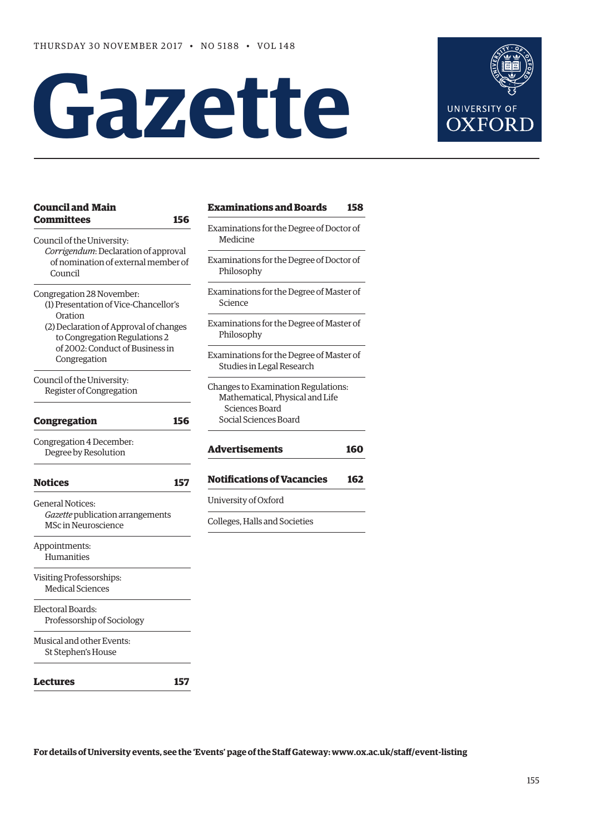# **Gazette**



| <b>Council and Main</b>                                                                | <b>Examinations and Boards</b>                                         | 158 |
|----------------------------------------------------------------------------------------|------------------------------------------------------------------------|-----|
| <b>Committees</b><br>156<br>Council of the University:                                 | Examinations for the Degree of Doctor of<br>Medicine                   |     |
| Corrigendum: Declaration of approval<br>of nomination of external member of<br>Council | Examinations for the Degree of Doctor of<br>Philosophy                 |     |
| Congregation 28 November:<br>(1) Presentation of Vice-Chancellor's<br>Oration          | Examinations for the Degree of Master of<br>Science                    |     |
| (2) Declaration of Approval of changes<br>to Congregation Regulations 2                | Examinations for the Degree of Master of<br>Philosophy                 |     |
| of 2002: Conduct of Business in<br>Congregation                                        | Examinations for the Degree of Master of<br>Studies in Legal Research  |     |
| Council of the University:<br>Register of Congregation                                 | Changes to Examination Regulations:<br>Mathematical, Physical and Life |     |
| 156<br><b>Congregation</b>                                                             | Sciences Board<br>Social Sciences Board                                |     |
| Congregation 4 December:<br>Degree by Resolution                                       | <b>Advertisements</b>                                                  | 160 |
| <b>Notices</b><br>157                                                                  | <b>Notifications of Vacancies</b>                                      | 162 |
| <b>General Notices:</b>                                                                | University of Oxford                                                   |     |
| Gazette publication arrangements<br><b>MSc in Neuroscience</b>                         | Colleges, Halls and Societies                                          |     |
| Appointments:<br>Humanities                                                            |                                                                        |     |
| Visiting Professorships:<br><b>Medical Sciences</b>                                    |                                                                        |     |
| Electoral Boards:<br>Professorship of Sociology                                        |                                                                        |     |
| Musical and other Events:<br>St Stephen's House                                        |                                                                        |     |
| <b>Lectures</b><br>157                                                                 |                                                                        |     |

**For details of University events, see the 'Events' page of the Staf Gateway: [www.ox.ac.uk/staf/event-listing](http://www.ox.ac.uk/staff/event-listing)**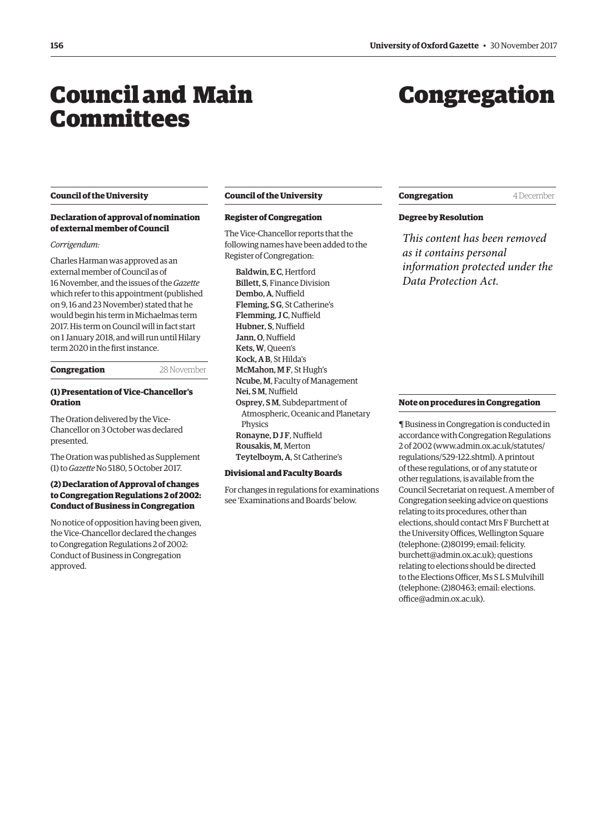### <span id="page-1-0"></span>Council and Main Committees

### Congregation

### **Council of the University**

### **Declaration of approval of nomination of external member of Council**

### *Corrigendum:*

Charles Harman was approved as an external member of Council as of 16 November, and the issues of the *Gazette*  which refer to this appointment (published on 9, 16 and 23 November) stated that he would begin his term in Michaelmas term 2017. His term on Council will in fact start on 1 January 2018, and will run until Hilary term 2020 in the frst instance.

### **Congregation** 28 November

### **(1) Presentation of Vice-Chancellor's Oration**

The Oration delivered by the Vice-Chancellor on 3 October was declared presented.

[The Oration was published as Supplement](http://www.ox.ac.uk/media/global/wwwoxacuk/localsites/gazette/documents/supplements2017-18/Vice-Chancellor)  (1) to *Gazette* No 5180, 5 October 2017.

### **(2) Declaration of Approval of changes to Congregation Regulations 2 of 2002: Conduct of Business in Congregation**

No notice of opposition having been given, the Vice-Chancellor declared the changes to Congregation Regulations 2 of 2002: Conduct of Business in Congregation approved.

### **Council of the University**

### **Register of Congregation**

The Vice-Chancellor reports that the following names have been added to the Register of Congregation:

Baldwin, EC, Hertford Billett, S, Finance Division Dembo, A. Nuffield Fleming, S G, St Catherine's Flemming, JC, Nuffield Hubner, S, Nuffield Jann, O. Nuffield Kets, W, Queen's Kock, A B, St Hilda's McMahon, M F, St Hugh's Ncube, M, Faculty of Management Nei, SM, Nuffield Osprey, S M, Subdepartment of Atmospheric, Oceanic and Planetary Physics Ronayne, DJF, Nuffield Rousakis, M, Merton Teytelboym, A, St Catherine's

### **Divisional and Faculty Boards**

For changes in regulations for examinations see ['Examinations and Boards'](#page-3-0) below.

### **Congregation** 4 December

### **Degree by Resolution**

*This content has been removed as it contains personal information protected under the Data Protection Act.*

### **Note on procedures in Congregation**

¶ Business in Congregation is conducted in accordance with Congregation Regulations 2 of 2002 [\(www.admin.ox.ac.uk/statutes/](http://www.admin.ox.ac.uk/statutes/regulations/529-122.shtml)  [regulations/529-122.shtml\). A p](http://www.admin.ox.ac.uk/statutes/regulations/529-122.shtml)rintout of these regulations, or of any statute or other regulations, is available from the Council Secretariat on request. A member of Congregation seeking advice on questions relating to its procedures, other than elections, should contact Mrs F Burchett at the University Offices, Wellington Square (telephone: (2)80199; email: felicity. [burchett@admin.ox.ac.uk\); questions](mailto:felicity.burchett@admin.ox.ac.uk)  relating to elections should be directed to the Elections Officer, Ms SL S Mulvihill [\(telephone: \(2\)80463; email: elections.](mailto:elections.office@admin.ox.ac.uk)  office@admin.ox.ac.uk).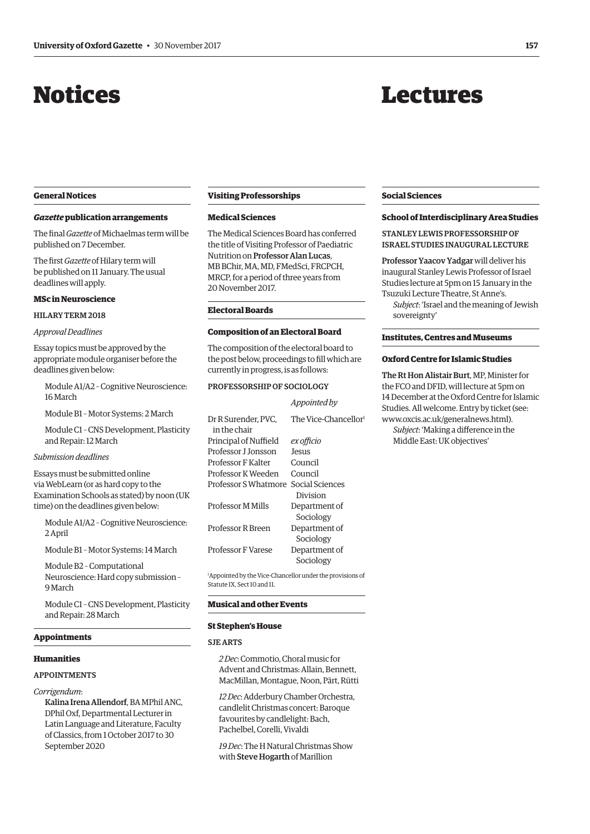## <span id="page-2-0"></span>Notices

### Lectures

### **General Notices**

### *Gazette* **publication arrangements**

The fnal *Gazette* of Michaelmas term will be published on 7 December.

The frst *Gazette* of Hilary term will be published on 11 January. The usual deadlines will apply.

#### **MSc in Neuroscience**

### HILARY TERM 2018

*Approval Deadlines* 

Essay topics must be approved by the appropriate module organiser before the deadlines given below:

Module A1/A2 – Cognitive Neuroscience: 16 March

Module B1 – Motor Systems: 2 March

Module C1 – CNS Development, Plasticity and Repair: 12 March

### *Submission deadlines*

Essays must be submitted online via WebLearn (or as hard copy to the Examination Schools as stated) by noon (UK time) on the deadlines given below:

Module A1/A2 – Cognitive Neuroscience: 2 April

Module B1 – Motor Systems: 14 March

Module B2 – Computational Neuroscience: Hard copy submission – 9 March

Module C1 – CNS Development, Plasticity and Repair: 28 March

### **Appointments**

### **Humanities**

#### APPOINTMENTS

*Corrigendum*:

Kalina Irena Allendorf, BA MPhil ANC, DPhil Oxf, Departmental Lecturer in Latin Language and Literature, Faculty of Classics, from 1 October 2017 to 30 September 2020

### **Visiting Professorships**

### **Medical Sciences**

The Medical Sciences Board has conferred the title of Visiting Professor of Paediatric Nutrition on Professor Alan Lucas, MB BChir, MA, MD, FMedSci, FRCPCH, MRCP, for a period of three years from 20 November 2017.

### **Electoral Boards**

### **Composition of an Electoral Board**

The composition of the electoral board to the post below, proceedings to fll which are currently in progress, is as follows:

### PROFESSORSHIP OF SOCIOLOGY

### *Appointed by*

| Dr R Surender, PVC.<br>in the chair | The Vice-Chancellor <sup>1</sup> |
|-------------------------------------|----------------------------------|
| Principal of Nuffield               | ex officio                       |
| Professor I Ionsson                 | Jesus                            |
| Professor F Kalter                  | Council                          |
| Professor K Weeden                  | Council                          |
| Professor S Whatmore                | Social Sciences                  |
|                                     | Division                         |
| <b>Professor M Mills</b>            | Department of                    |
|                                     | Sociology                        |
| Professor R Breen                   | Department of                    |
|                                     | Sociology                        |
| <b>Professor F Varese</b>           | Department of                    |
|                                     | Sociology                        |
|                                     |                                  |

1 Appointed by the Vice-Chancellor under the provisions of Statute IX, Sect 10 and 11.

### **Musical and other Events**

### **St Stephen's House**

#### SJE ARTS

*2 Dec*: Commotio, Choral music for Advent and Christmas: Allain, Bennett, MacMillan, Montague, Noon, Pärt, Rütti

*12 Dec*: Adderbury Chamber Orchestra, candlelit Christmas concert: Baroque favourites by candlelight: Bach, Pachelbel, Corelli, Vivaldi

*19 Dec*: The H Natural Christmas Show with Steve Hogarth of Marillion

### **Social Sciences**

### **School of Interdisciplinary Area Studies**

STANLEY LEWIS PROFESSORSHIP OF ISRAEL STUDIES INAUGURAL LECTURE

Professor Yaacov Yadgar will deliver his inaugural Stanley Lewis Professor of Israel Studies lecture at 5pm on 15 January in the Tsuzuki Lecture Theatre, St Anne's.

*Subject*: 'Israel and the meaning of Jewish sovereignty'

### **Institutes, Centres and Museums**

### **Oxford Centre for Islamic Studies**

The Rt Hon Alistair Burt, MP, Minister for the FCO and DFID, will lecture at 5pm on 14 December at the Oxford Centre for Islamic Studies. All welcome. Entry by ticket (see: [www.oxcis.ac.uk/generalnews.html\).](http://www.oxcis.ac.uk/generalnews.html) 

*Subject*: 'Making a diference in the Middle East: UK objectives'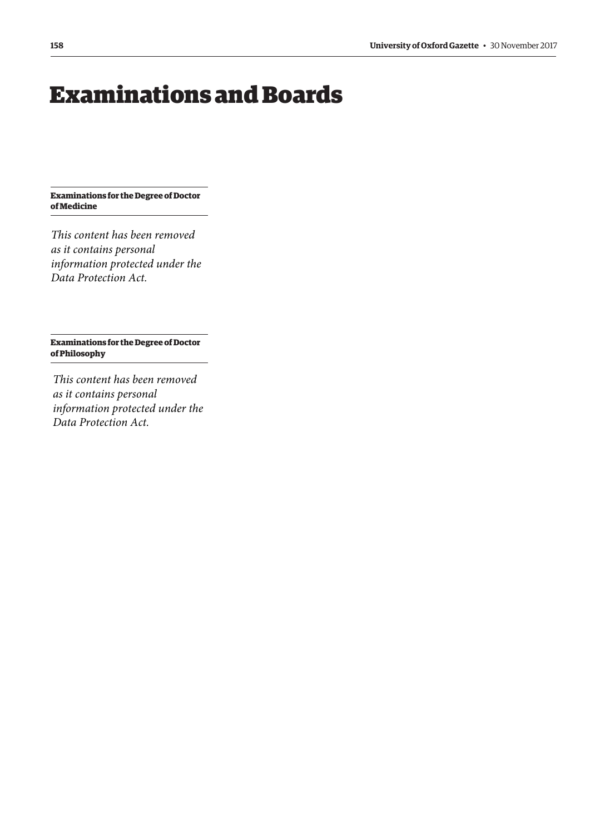### <span id="page-3-0"></span>Examinations and Boards

**Examinations for the Degree of Doctor of Medicine** 

*This content has been removed as it contains personal information protected under the Data Protection Act.*

**Examinations for the Degree of Doctor of Philosophy** 

*This content has been removed as it contains personal information protected under the Data Protection Act.*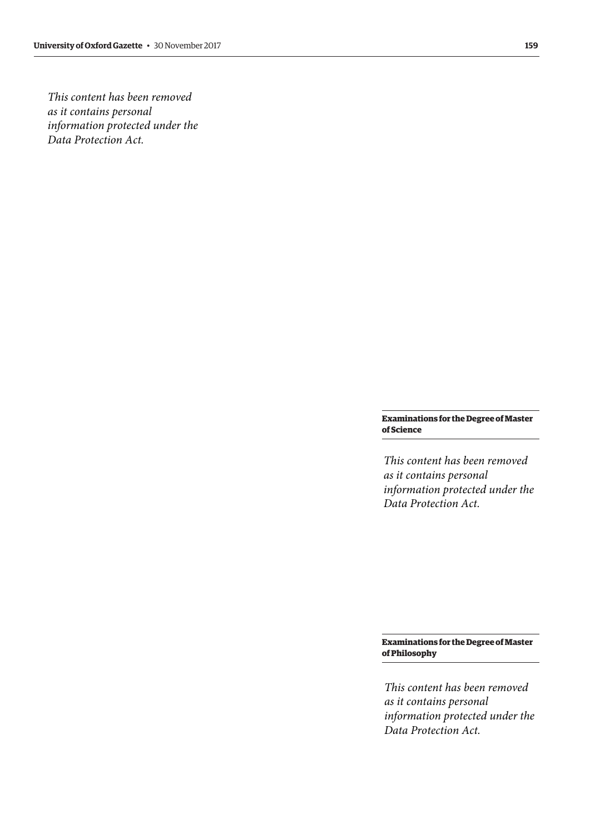*This content has been removed as it contains personal information protected under the Data Protection Act.*

> **Examinations for the Degree of Master of Science**

> *This content has been removed as it contains personal information protected under the Data Protection Act.*

> **Examinations for the Degree of Master of Philosophy**

> *This content has been removed as it contains personal information protected under the Data Protection Act.*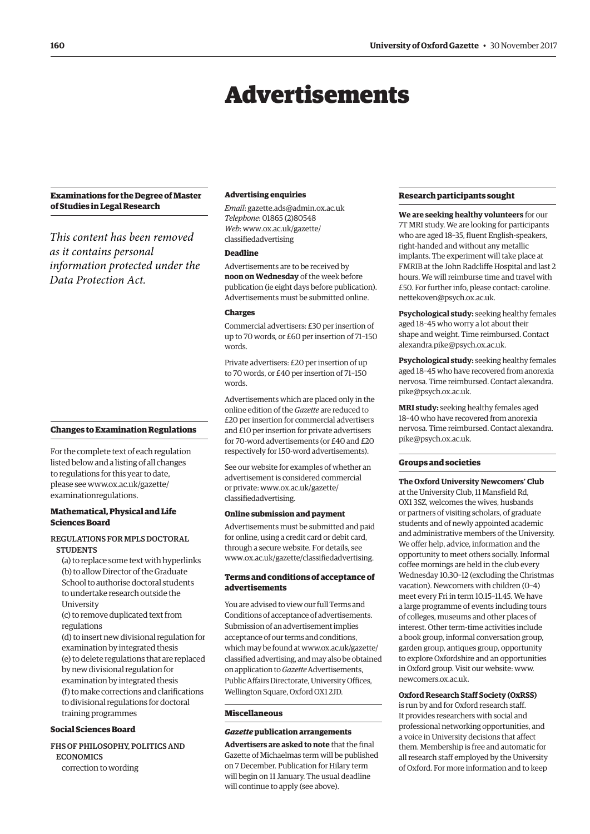### Advertisements

### <span id="page-5-0"></span>**Examinations for the Degree of Master of Studies in Legal Research**

*This content has been removed as it contains personal information protected under the Data Protection Act.*

### **Changes to Examination Regulations**

For the complete text of each regulation listed below and a listing of all changes to regulations for this year to date, [please see www.ox.ac.uk/gazette/](www.ox.ac.uk/gazette/examinationregulations)  examinationregulations.

### **Mathematical, Physical and Life Sciences Board**

### REGULATIONS FOR MPLS DOCTORAL **STUDENTS**

(a) to replace some text with hyperlinks (b) to allow Director of the Graduate School to authorise doctoral students to undertake research outside the **University** 

(c) to remove duplicated text from regulations

(d) to insert new divisional regulation for examination by integrated thesis (e) to delete regulations that are replaced by new divisional regulation for examination by integrated thesis (f) to make corrections and clarifcations to divisional regulations for doctoral training programmes

### **Social Sciences Board**

FHS OF PHILOSOPHY, POLITICS AND **ECONOMICS** correction to wording

### **Advertising enquiries**

*Email*: [gazette.ads@admin.ox.ac.uk](mailto:gazette.ads@admin.ox.ac.uk)  *Telephone*: 01865 (2)80548 *Web*[: www.ox.ac.uk/gazette/](www.ox.ac.uk/gazette/classifiedadvertising)  classifedadvertising

### **Deadline**

Advertisements are to be received by **noon on Wednesday** of the week before publication (ie eight days before publication). Advertisements must be submitted online.

### **Charges**

Commercial advertisers: £30 per insertion of up to 70 words, or £60 per insertion of 71–150 words.

Private advertisers: £20 per insertion of up to 70 words, or £40 per insertion of 71–150 words.

Advertisements which are placed only in the online edition of the *Gazette* are reduced to £20 per insertion for commercial advertisers and £10 per insertion for private advertisers for 70-word advertisements (or £40 and £20 respectively for 150-word advertisements).

See our website for examples of whether an advertisement is considered commercial [or private: www.ox.ac.uk/gazette/](www.ox.ac.uk/gazette/classifiedadvertising)  classifedadvertising.

### **Online submission and payment**

Advertisements must be submitted and paid for online, using a credit card or debit card, through a secure website. For details, see [www.ox.ac.uk/gazette/classifedadvertising.](http://www.ox.ac.uk/gazette/classifiedadvertising) 

### **Terms and conditions of acceptance of advertisements**

You are advised to view our full Terms and Conditions of acceptance of advertisements. Submission of an advertisement implies acceptance of our terms and conditions, which may be found at www.ox.ac.uk/gazette/ [classifed advertising, and may also be obtained](www.ox.ac.uk/gazette/classifiedadvertising)  on application to *Gazette* Advertisements, Public Affairs Directorate, University Offices, Wellington Square, Oxford OX1 2JD.

### **Miscellaneous**

### *Gazette* **publication arrangements**

**Advertisers are asked to note** that the final Gazette of Michaelmas term will be published on 7 December. Publication for Hilary term will begin on 11 January. The usual deadline will continue to apply (see above).

### **Research participants sought**

**We are seeking healthy volunteers** for our 7T MRI study. We are looking for participants who are aged 18–35, fluent English-speakers, right-handed and without any metallic implants. The experiment will take place at FMRIB at the John Radcliffe Hospital and last 2 hours. We will reimburse time and travel with [£50. For further info, please contact: caroline.](mailto:caroline.nettekoven@psych.ox.ac.uk)  nettekoven@psych.ox.ac.uk.

**Psychological study:** seeking healthy females aged 18–45 who worry a lot about their shape and weight. Time reimbursed. Contact [alexandra.pike@psych.ox.ac.uk.](mailto:alexandra.pike@psych.ox.ac.uk) 

**Psychological study:** seeking healthy females aged 18–45 who have recovered from anorexia [nervosa. Time reimbursed. Contact alexandra.](mailto:alexandra.pike@psych.ox.ac.uk)  pike@psych.ox.ac.uk.

**MRI study:** seeking healthy females aged 18–40 who have recovered from anorexia [nervosa. Time reimbursed. Contact alexandra.](mailto:alexandra.pike@psych.ox.ac.uk)  pike@psych.ox.ac.uk.

### **Groups and societies**

**The Oxford University Newcomers' Club**  at the University Club, 11 Mansfield Rd, OX1 3SZ, welcomes the wives, husbands or partners of visiting scholars, of graduate students and of newly appointed academic and administrative members of the University. We offer help, advice, information and the opportunity to meet others socially. Informal coffee mornings are held in the club every Wednesday 10.30–12 (excluding the Christmas vacation). Newcomers with children (0–4) meet every Fri in term 10.15–11.45. We have a large programme of events including tours of colleges, museums and other places of interest. Other term-time activities include a book group, informal conversation group, garden group, antiques group, opportunity to explore Oxfordshire and an opportunities in Oxford group. Visit our website: [www.](http://www.newcomers.ox.ac.uk)  [newcomers.ox.ac.uk.](http://www.newcomers.ox.ac.uk) 

**Oxford Research Staff Society (OxRSS)** 

is run by and for Oxford research staff. It provides researchers with social and professional networking opportunities, and a voice in University decisions that affect them. Membership is free and automatic for all research staff employed by the University of Oxford. For more information and to keep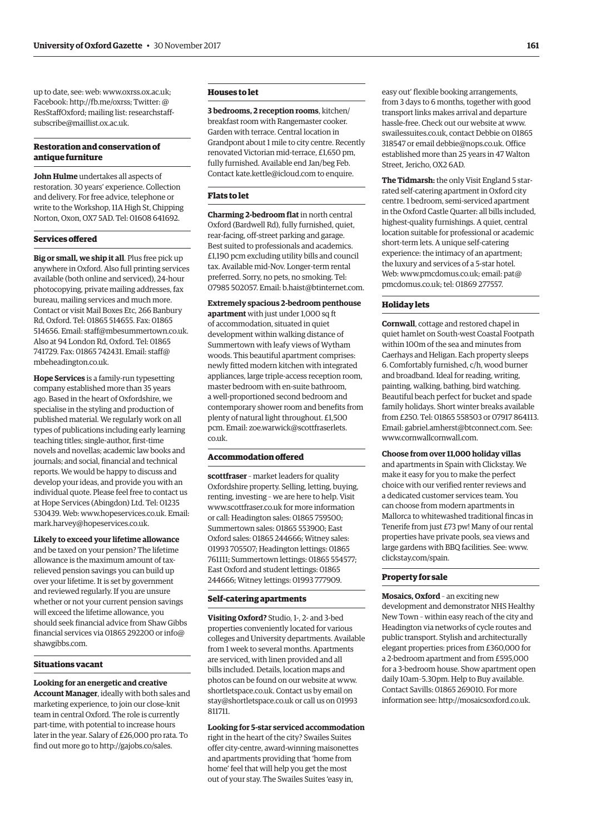up to date, see: web[: www.oxrss.ox.ac.uk;](www.oxrss.ox.ac.uk)  Facebook: http://fb.me/oxrss; Twitter: @ [ResStaffOxford; mailing list: researchstaff](mailto:researchstaff-subscribe@maillist.ox.ac.uk)subscribe@maillist.ox.ac.uk.

### **Restoration and conservation of antique furniture**

**John Hulme** undertakes all aspects of restoration. 30 years' experience. Collection and delivery. For free advice, telephone or write to the Workshop, 11A High St, Chipping Norton, Oxon, OX7 5AD. Tel: 01608 641692.

### **Services ofered**

**Big or small, we ship it all**. Plus free pick up anywhere in Oxford. Also full printing services available (both online and serviced), 24-hour photocopying, private mailing addresses, fax bureau, mailing services and much more. Contact or visit Mail Boxes Etc, 266 Banbury Rd, Oxford. Tel: 01865 514655. Fax: 01865 514656. Email: [staff@mbesummertown.co.uk.](mailto:staff@mbesummertown.co.uk)  Also at 94 London Rd, Oxford. Tel: 01865 [741729. Fax: 01865 742431. Email: staff@](mailto:staff@mbeheadington.co.uk)  mbeheadington.co.uk.

**Hope Services** is a family-run typesetting company established more than 35 years ago. Based in the heart of Oxfordshire, we specialise in the styling and production of published material. We regularly work on all types of publications including early learning teaching titles; single-author, first-time novels and novellas; academic law books and journals; and social, financial and technical reports. We would be happy to discuss and develop your ideas, and provide you with an individual quote. Please feel free to contact us at Hope Services (Abingdon) Ltd. Tel: 01235 530439. Web: [www.hopeservices.co.uk. Em](http://www.hopeservices.co.uk)ail: [mark.harvey@hopeservices.co.uk.](mailto:mark.harvey@hopeservices.co.uk) 

### **Likely to exceed your lifetime allowance**

and be taxed on your pension? The lifetime allowance is the maximum amount of taxrelieved pension savings you can build up over your lifetime. It is set by government and reviewed regularly. If you are unsure whether or not your current pension savings will exceed the lifetime allowance, you should seek financial advice from Shaw Gibbs [financial services via 01865 292200 or info@](mailto:info@shawgibbs.com)  shawgibbs.com.

### **Situations vacant**

### **Looking for an energetic and creative Account Manager**, ideally with both sales and marketing experience, to join our close-knit team in central Oxford. The role is currently part-time, with potential to increase hours later in the year. Salary of £26,000 pro rata. To find out more go to [http://gajobs.co/sales.](http://gajobs.co/sales)

### **Houses to let**

**3 bedrooms, 2 reception rooms**, kitchen/ breakfast room with Rangemaster cooker. Garden with terrace. Central location in Grandpont about 1 mile to city centre. Recently renovated Victorian mid-terrace, £1,650 pm, fully furnished. Available end Jan/beg Feb. Contact [kate.kettle@icloud.com to](mailto:kate.kettle@icloud.com) enquire.

### **Flats to let**

**Charming 2-bedroom flat** in north central Oxford (Bardwell Rd), fully furnished, quiet, rear-facing, off-street parking and garage. Best suited to professionals and academics. £1,190 pcm excluding utility bills and council tax. Available mid-Nov. Longer-term rental preferred. Sorry, no pets, no smoking. Tel: 07985 502057. Email: [b.haist@btinternet.com.](mailto:b.haist@btinternet.com) 

**Extremely spacious 2-bedroom penthouse apartment** with just under 1,000 sq ft of accommodation, situated in quiet development within walking distance of Summertown with leafy views of Wytham woods. This beautiful apartment comprises: newly fitted modern kitchen with integrated appliances, large triple-access reception room, master bedroom with en-suite bathroom, a well-proportioned second bedroom and contemporary shower room and benefits from plenty of natural light throughout. £1,500 [pcm. Email: zoe.warwick@scottfraserlets.](mailto:zoe.warwick@scottfraserlets.co.uk)  co.uk.

### **Accommodation ofered**

**scottfraser** – market leaders for quality Oxfordshire property. Selling, letting, buying, renting, investing – we are here to help. Visit [www.scottfraser.co.uk fo](http://www.scottfraser.co.uk)r more information or call: Headington sales: 01865 759500; Summertown sales: 01865 553900; East Oxford sales: 01865 244666; Witney sales: 01993 705507; Headington lettings: 01865 761111; Summertown lettings: 01865 554577; East Oxford and student lettings: 01865 244666; Witney lettings: 01993 777909.

### **Self-catering apartments**

**Visiting Oxford?** Studio, 1-, 2- and 3-bed properties conveniently located for various colleges and University departments. Available from 1 week to several months. Apartments are serviced, with linen provided and all bills included. Details, location maps and photos can be found on our website at [www.](http://www.shortletspace.co.uk)  [shortletspace.co.uk. Co](http://www.shortletspace.co.uk)ntact us by email on [stay@shortletspace.co.uk or](mailto:stay@shortletspace.co.uk) call us on 01993 811711.

#### **Looking for 5-star serviced accommodation**

right in the heart of the city? Swailes Suites offer city-centre, award-winning maisonettes and apartments providing that 'home from home' feel that will help you get the most out of your stay. The Swailes Suites 'easy in,

easy out' flexible booking arrangements, from 3 days to 6 months, together with goo d transport links makes arrival and departure hassle-free. Check out our website at [www.](http://www.swailessuites.co.uk)  [swailessuites.co.uk, co](http://www.swailessuites.co.uk)ntact Debbie on 0186 5 318547 or email [debbie@nops.co.uk. Of](mailto:debbie@nops.co.uk)fice established more than 25 years in 47 Walton Street, Jericho, OX2 6AD.

**The Tidmarsh:** the only Visit England 5 star rated self-catering apartment in Oxford city centre. 1 bedroom, semi-serviced apartment in the Oxford Castle Quarter: all bills include d, highest-quality furnishings. A quiet, central location suitable for professional or academi c short-term lets. A unique self-catering experience: the intimacy of an apartment; the luxury and services of a 5-star hotel. Web: [www.pmcdomus.co.uk; em](http://www.pmcdomus.co.uk)ail: pat@ [pmcdomus.co.uk; tel: 01869](mailto:pat@pmcdomus.co.uk) 277557.

### **Holiday lets**

**Cornwall**, cottage and restored chapel in quiet hamlet on South-west Coastal Footpath within 100m of the sea and minutes from Caerhays and Heligan. Each property sleeps 6. Comfortably furnished, c/h, wood burner and broadband. Ideal for reading, writing, painting, walking, bathing, bird watching. Beautiful beach perfect for bucket and spade family holidays. Short winter breaks available from £250. Tel: 01865 558503 or 07917 864113. Email: [gabriel.amherst@btconnect.com. Se](mailto:gabriel.amherst@btconnect.com)e: [www.cornwallcornwall.com.](http://www.cornwallcornwall.com) 

**Choose from over 11,000 holiday villas**  and apartments in Spain with Clickstay. We make it easy for you to make the perfect choice with our verified renter reviews and a dedicated customer services team. You can choose from modern apartments in Mallorca to whitewashed traditional fincas in Tenerife from just £73 pw! Many of our rental properties have private pools, sea views and large gardens with BBQ facilities. See: [www.](http://www.clickstay.com/spain)  [clickstay.com/spain.](http://www.clickstay.com/spain) 

### **Property for sale**

**Mosaics, Oxford** – an exciting new development and demonstrator NHS Healthy New Town – within easy reach of the city and Headington via networks of cycle routes and public transport. Stylish and architecturally elegant properties: prices from £360,000 for a 2-bedroom apartment and from £595,000 for a 3-bedroom house. Show apartment open daily 10am–5.30pm. Help to Buy available. Contact Savills: 01865 269010. For more information see: [http://mosaicsoxford.co.uk.](http://mosaicsoxford.co.uk)